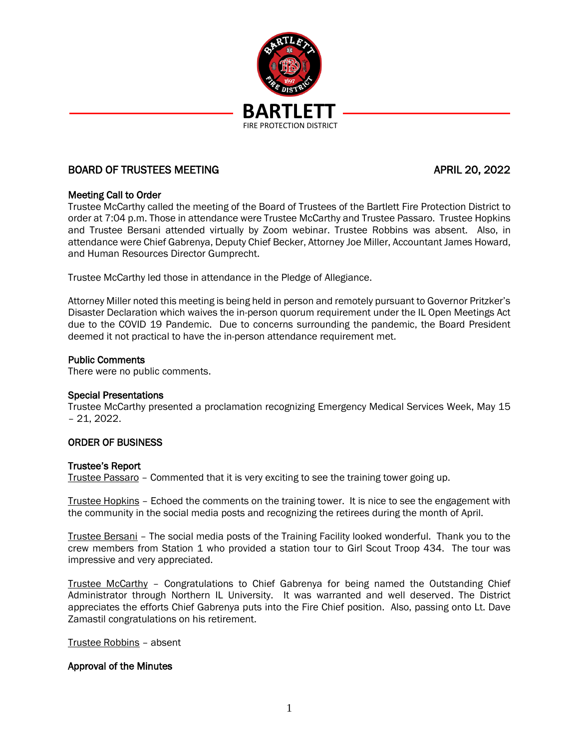

# BOARD OF TRUSTEES MEETING APRIL 20, 2022

# Meeting Call to Order

Trustee McCarthy called the meeting of the Board of Trustees of the Bartlett Fire Protection District to order at 7:04 p.m. Those in attendance were Trustee McCarthy and Trustee Passaro. Trustee Hopkins and Trustee Bersani attended virtually by Zoom webinar. Trustee Robbins was absent. Also, in attendance were Chief Gabrenya, Deputy Chief Becker, Attorney Joe Miller, Accountant James Howard, and Human Resources Director Gumprecht.

Trustee McCarthy led those in attendance in the Pledge of Allegiance.

Attorney Miller noted this meeting is being held in person and remotely pursuant to Governor Pritzker's Disaster Declaration which waives the in-person quorum requirement under the IL Open Meetings Act due to the COVID 19 Pandemic. Due to concerns surrounding the pandemic, the Board President deemed it not practical to have the in-person attendance requirement met.

#### Public Comments

There were no public comments.

## Special Presentations

Trustee McCarthy presented a proclamation recognizing Emergency Medical Services Week, May 15 – 21, 2022.

## ORDER OF BUSINESS

## Trustee's Report

Trustee Passaro – Commented that it is very exciting to see the training tower going up.

Trustee Hopkins – Echoed the comments on the training tower. It is nice to see the engagement with the community in the social media posts and recognizing the retirees during the month of April.

Trustee Bersani – The social media posts of the Training Facility looked wonderful. Thank you to the crew members from Station 1 who provided a station tour to Girl Scout Troop 434. The tour was impressive and very appreciated.

Trustee McCarthy – Congratulations to Chief Gabrenya for being named the Outstanding Chief Administrator through Northern IL University. It was warranted and well deserved. The District appreciates the efforts Chief Gabrenya puts into the Fire Chief position. Also, passing onto Lt. Dave Zamastil congratulations on his retirement.

Trustee Robbins – absent

## Approval of the Minutes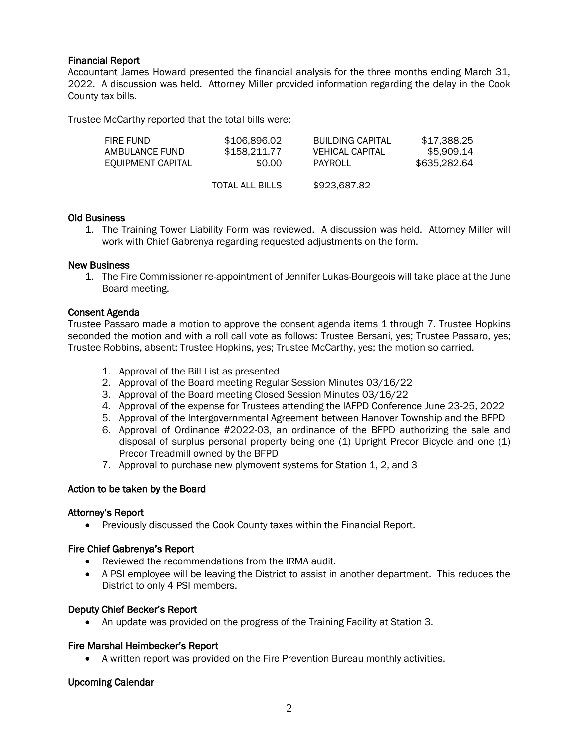# Financial Report

Accountant James Howard presented the financial analysis for the three months ending March 31, 2022. A discussion was held. Attorney Miller provided information regarding the delay in the Cook County tax bills.

Trustee McCarthy reported that the total bills were:

| FIRE FUND<br>AMBULANCE FUND<br>EQUIPMENT CAPITAL | \$106.896.02<br>\$158.211.77<br>\$0.00 | <b>BUILDING CAPITAL</b><br>VEHICAL CAPITAL<br>PAYROLL | \$17.388.25<br>\$5.909.14<br>\$635,282.64 |
|--------------------------------------------------|----------------------------------------|-------------------------------------------------------|-------------------------------------------|
|                                                  | <b>TOTAL ALL BILLS</b>                 | \$923,687.82                                          |                                           |

## Old Business

1. The Training Tower Liability Form was reviewed. A discussion was held. Attorney Miller will work with Chief Gabrenya regarding requested adjustments on the form.

#### New Business

1. The Fire Commissioner re-appointment of Jennifer Lukas-Bourgeois will take place at the June Board meeting.

## Consent Agenda

Trustee Passaro made a motion to approve the consent agenda items 1 through 7. Trustee Hopkins seconded the motion and with a roll call vote as follows: Trustee Bersani, yes; Trustee Passaro, yes; Trustee Robbins, absent; Trustee Hopkins, yes; Trustee McCarthy, yes; the motion so carried.

- 1. Approval of the Bill List as presented
- 2. Approval of the Board meeting Regular Session Minutes 03/16/22
- 3. Approval of the Board meeting Closed Session Minutes 03/16/22
- 4. Approval of the expense for Trustees attending the IAFPD Conference June 23-25, 2022
- 5. Approval of the Intergovernmental Agreement between Hanover Township and the BFPD
- 6. Approval of Ordinance #2022-03, an ordinance of the BFPD authorizing the sale and disposal of surplus personal property being one (1) Upright Precor Bicycle and one (1) Precor Treadmill owned by the BFPD
- 7. Approval to purchase new plymovent systems for Station 1, 2, and 3

## Action to be taken by the Board

## Attorney's Report

• Previously discussed the Cook County taxes within the Financial Report.

## Fire Chief Gabrenya's Report

- Reviewed the recommendations from the IRMA audit.
- A PSI employee will be leaving the District to assist in another department. This reduces the District to only 4 PSI members.

#### Deputy Chief Becker's Report

• An update was provided on the progress of the Training Facility at Station 3.

## Fire Marshal Heimbecker's Report

• A written report was provided on the Fire Prevention Bureau monthly activities.

## Upcoming Calendar